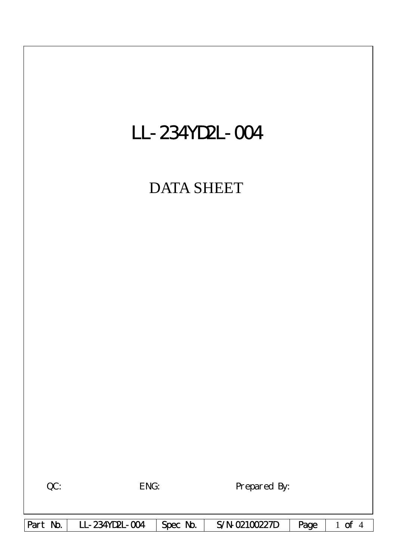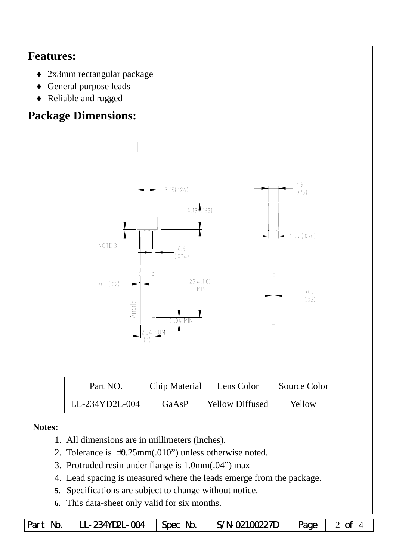## **Features:**

- ♦ 2x3mm rectangular package
- ♦ General purpose leads
- ♦ Reliable and rugged

# **Package Dimensions:**



| Part NO.       | Chip Material | Lens Color       | Source Color |  |
|----------------|---------------|------------------|--------------|--|
| LL-234YD2L-004 | GaAsP         | 'Yellow Diffused | Yellow       |  |

### **Notes:**

- 1. All dimensions are in millimeters (inches).
- 2. Tolerance is ±0.25mm(.010") unless otherwise noted.
- 3. Protruded resin under flange is 1.0mm(.04") max
- 4. Lead spacing is measured where the leads emerge from the package.
- **5.** Specifications are subject to change without notice.
- **6.** This data-sheet only valid for six months.

|  | Part No.   LL-234YD2L-004   Spec No.   S/N-02100227D   Page   2 of 4 |  |  |  |  |
|--|----------------------------------------------------------------------|--|--|--|--|
|--|----------------------------------------------------------------------|--|--|--|--|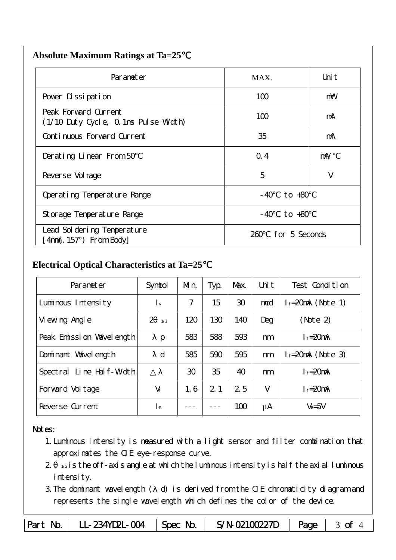| Parameter                                                    | MAX.                  | Uni t      |
|--------------------------------------------------------------|-----------------------|------------|
| Pover Dissipation                                            | 100                   | mW         |
| Peak Forward Current<br>(1/10 Duty Cycle, 0.1ms Pulse Width) | 100                   | mA         |
| Continuous Forward Current                                   | 35                    | mA         |
| Derating Linear From 50                                      | Q.4                   | $m\lambda$ |
| Reverse Vol tage                                             | 5                     | V          |
| Operating Temperature Range                                  | to $+80$<br>- 40      |            |
| Storage Temperature Range                                    | $-40$ to $+80$        |            |
| Lead Sol dering Temperature<br>4nm(. 157") From Body         | for 5 Seconds<br>260. |            |

#### **Electrical Optical Characteristics at Ta=25**℃

| Parameter                | Symbol                    | Mn. | Typ. | Max. | Uni t | Test Condition         |
|--------------------------|---------------------------|-----|------|------|-------|------------------------|
| Luminous Intensity       | $\mathsf{I}_{\mathsf{v}}$ | 7   | 15   | 30   | mcd   | $l_f = 20$ mA (Note 1) |
| Vi ewing Angl e          | $\overline{2}$<br>1/2     | 120 | 130  | 140  | Deg   | (Note 2)               |
| Peak Emission Wavelength | $\mathbf{p}$              | 583 | 588  | 593  | nm    | $I_f = 20$ mA          |
| Dominant Wavelength      | $\mathbf d$               | 585 | 590  | 595  | nm    | $l_f = 20$ mA (Note 3) |
| Spectral Line Half-Width |                           | 30  | 35   | 40   | nm    | $I_f = 20$ mA          |
| Forward Voltage          | $V_f$                     | 1.6 | 2.1  | 25   | V     | $I_f = 20$ mA          |
| Reverse Current          | $\mathsf{R}$              |     |      | 100  | μA    | $V_R = 5V$             |

#### Notes:

- 1.Luminous intensity is measured with a light sensor and filter combination that approximates the CIE eye-response curve.
- $2 1/2$  is the off-axis angle at which the luminous intensity is half the axial luminous i ntensity.
- 3.The dominant wavelength ( d) is derived from the CIE chromaticity diagram and represents the single wavelength which defines the color of the device.

Part No. | LL-234YD2L-004 | Spec No. | S/N-02100227D | Page | 3 of 4